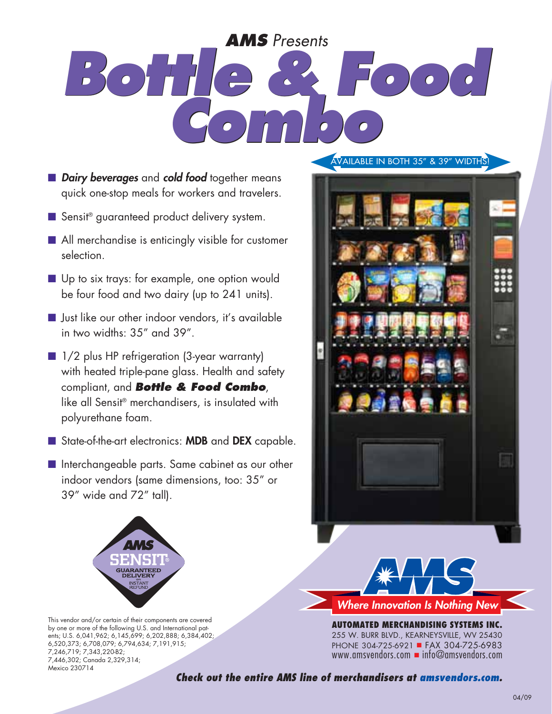# *Bottle & Food Combo Bottle & Food Combo AMS Presents*

- **n Dairy beverages** and **cold food** together means quick one-stop meals for workers and travelers.
- Sensit<sup>®</sup> guaranteed product delivery system.
- $\blacksquare$  All merchandise is enticingly visible for customer selection.
- Up to six trays: for example, one option would be four food and two dairy (up to 241 units).
- **n** Just like our other indoor vendors, it's available in two widths: 35" and 39".
- 1/2 plus HP refrigeration (3-year warranty) with heated triple-pane glass. Health and safety compliant, and *Bottle & Food Combo*, like all Sensit® merchandisers, is insulated with polyurethane foam.
- State-of-the-art electronics: MDB and DEX capable.
- Interchangeable parts. Same cabinet as our other indoor vendors (same dimensions, too: 35" or 39" wide and 72" tall).



This vendor and/or certain of their components are covered by one or more of the following U.S. and International patents; U.S. 6,041,962; 6,145,699; 6,202,888; 6,384,402; 6,520,373; 6,708,079; 6,794,634; 7,191,915; 7,246,719; 7,343,220-B2; 7,446,302; Canada 2,329,314; Mexico 230714

#### Available in both 35" & 39" widths!





**AUTOMATED MERCHANDISING SYSTEMs INC.** 255 W. Burr Blvd., Kearneysville, WV 25430 PHONE 304-725-6921 FAX 304-725-6983 www.amsvendors.com  $\blacksquare$  info@amsvendors.com

*Check out the entire AMS line of merchandisers at amsvendors.com.*